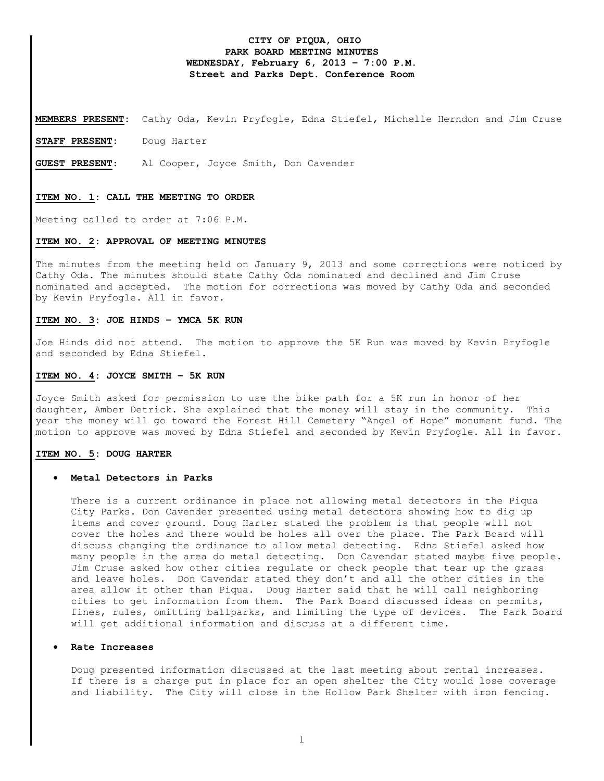# **CITY OF PIQUA, OHIO PARK BOARD MEETING MINUTES WEDNESDAY, February 6, 2013 – 7:00 P.M. Street and Parks Dept. Conference Room**

**MEMBERS PRESENT:** Cathy Oda, Kevin Pryfogle, Edna Stiefel, Michelle Herndon and Jim Cruse

**STAFF PRESENT:** Doug Harter

**GUEST PRESENT**: Al Cooper, Joyce Smith, Don Cavender

#### **ITEM NO. 1: CALL THE MEETING TO ORDER**

Meeting called to order at 7:06 P.M.

#### **ITEM NO. 2: APPROVAL OF MEETING MINUTES**

The minutes from the meeting held on January 9, 2013 and some corrections were noticed by Cathy Oda. The minutes should state Cathy Oda nominated and declined and Jim Cruse nominated and accepted. The motion for corrections was moved by Cathy Oda and seconded by Kevin Pryfogle. All in favor.

## **ITEM NO. 3: JOE HINDS – YMCA 5K RUN**

Joe Hinds did not attend. The motion to approve the 5K Run was moved by Kevin Pryfogle and seconded by Edna Stiefel.

## **ITEM NO. 4: JOYCE SMITH – 5K RUN**

Joyce Smith asked for permission to use the bike path for a 5K run in honor of her daughter, Amber Detrick. She explained that the money will stay in the community. This year the money will go toward the Forest Hill Cemetery "Angel of Hope" monument fund. The motion to approve was moved by Edna Stiefel and seconded by Kevin Pryfogle. All in favor.

### **ITEM NO. 5: DOUG HARTER**

### • **Metal Detectors in Parks**

There is a current ordinance in place not allowing metal detectors in the Piqua City Parks. Don Cavender presented using metal detectors showing how to dig up items and cover ground. Doug Harter stated the problem is that people will not cover the holes and there would be holes all over the place. The Park Board will discuss changing the ordinance to allow metal detecting. Edna Stiefel asked how many people in the area do metal detecting. Don Cavendar stated maybe five people. Jim Cruse asked how other cities regulate or check people that tear up the grass and leave holes. Don Cavendar stated they don't and all the other cities in the area allow it other than Piqua. Doug Harter said that he will call neighboring cities to get information from them. The Park Board discussed ideas on permits, fines, rules, omitting ballparks, and limiting the type of devices. The Park Board will get additional information and discuss at a different time.

#### • **Rate Increases**

Doug presented information discussed at the last meeting about rental increases. If there is a charge put in place for an open shelter the City would lose coverage and liability. The City will close in the Hollow Park Shelter with iron fencing.